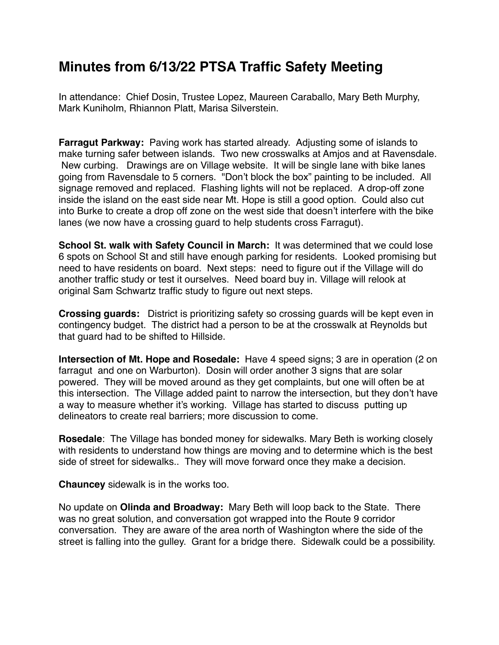## **Minutes from 6/13/22 PTSA Traffic Safety Meeting**

In attendance: Chief Dosin, Trustee Lopez, Maureen Caraballo, Mary Beth Murphy, Mark Kuniholm, Rhiannon Platt, Marisa Silverstein.

**Farragut Parkway:** Paving work has started already. Adjusting some of islands to make turning safer between islands. Two new crosswalks at Amjos and at Ravensdale. New curbing. Drawings are on Village website. It will be single lane with bike lanes going from Ravensdale to 5 corners. "Don't block the box" painting to be included. All signage removed and replaced. Flashing lights will not be replaced. A drop-off zone inside the island on the east side near Mt. Hope is still a good option. Could also cut into Burke to create a drop off zone on the west side that doesn't interfere with the bike lanes (we now have a crossing guard to help students cross Farragut).

**School St. walk with Safety Council in March:** It was determined that we could lose 6 spots on School St and still have enough parking for residents. Looked promising but need to have residents on board. Next steps: need to figure out if the Village will do another traffic study or test it ourselves. Need board buy in. Village will relook at original Sam Schwartz traffic study to figure out next steps.

**Crossing guards:** District is prioritizing safety so crossing guards will be kept even in contingency budget. The district had a person to be at the crosswalk at Reynolds but that guard had to be shifted to Hillside.

**Intersection of Mt. Hope and Rosedale:** Have 4 speed signs; 3 are in operation (2 on farragut and one on Warburton). Dosin will order another 3 signs that are solar powered. They will be moved around as they get complaints, but one will often be at this intersection. The Village added paint to narrow the intersection, but they don't have a way to measure whether it's working. Village has started to discuss putting up delineators to create real barriers; more discussion to come.

**Rosedale**: The Village has bonded money for sidewalks. Mary Beth is working closely with residents to understand how things are moving and to determine which is the best side of street for sidewalks.. They will move forward once they make a decision.

**Chauncey** sidewalk is in the works too.

No update on **Olinda and Broadway:** Mary Beth will loop back to the State. There was no great solution, and conversation got wrapped into the Route 9 corridor conversation. They are aware of the area north of Washington where the side of the street is falling into the gulley. Grant for a bridge there. Sidewalk could be a possibility.